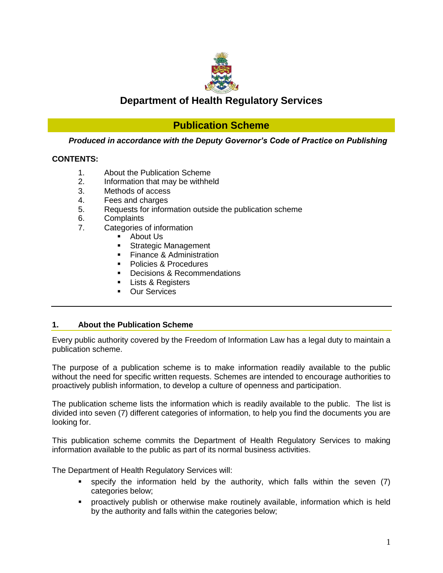

# **Department of Health Regulatory Services**

# **Publication Scheme**

*Produced in accordance with the Deputy Governor's Code of Practice on Publishing*

## **CONTENTS:**

- 1. About the Publication Scheme
- 2. Information that may be withheld
- 3. Methods of access
- 4. Fees and charges
- 5. Requests for information outside the publication scheme
- 6. Complaints
- 7. Categories of information
	- About Us
	- **Strategic Management**
	- **Finance & Administration**
	- Policies & Procedures
	- Decisions & Recommendations
	- Lists & Registers
	- Our Services

## **1. About the Publication Scheme**

Every public authority covered by the Freedom of Information Law has a legal duty to maintain a publication scheme.

The purpose of a publication scheme is to make information readily available to the public without the need for specific written requests. Schemes are intended to encourage authorities to proactively publish information, to develop a culture of openness and participation.

The publication scheme lists the information which is readily available to the public. The list is divided into seven (7) different categories of information, to help you find the documents you are looking for.

This publication scheme commits the Department of Health Regulatory Services to making information available to the public as part of its normal business activities.

The Department of Health Regulatory Services will:

- specify the information held by the authority, which falls within the seven (7) categories below;
- proactively publish or otherwise make routinely available, information which is held by the authority and falls within the categories below;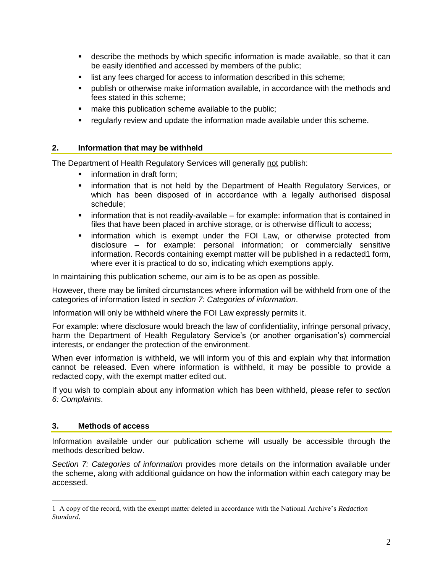- describe the methods by which specific information is made available, so that it can be easily identified and accessed by members of the public;
- **I** list any fees charged for access to information described in this scheme;
- publish or otherwise make information available, in accordance with the methods and fees stated in this scheme;
- **nake this publication scheme available to the public;**
- regularly review and update the information made available under this scheme.

## **2. Information that may be withheld**

The Department of Health Regulatory Services will generally not publish:

- **information in draft form:**
- **EXED** information that is not held by the Department of Health Regulatory Services, or which has been disposed of in accordance with a legally authorised disposal schedule;
- $\blacksquare$  information that is not readily-available for example: information that is contained in files that have been placed in archive storage, or is otherwise difficult to access;
- information which is exempt under the FOI Law, or otherwise protected from disclosure – for example: personal information; or commercially sensitive information. Records containing exempt matter will be published in a redacted1 form, where ever it is practical to do so, indicating which exemptions apply.

In maintaining this publication scheme, our aim is to be as open as possible.

However, there may be limited circumstances where information will be withheld from one of the categories of information listed in *section 7: Categories of information*.

Information will only be withheld where the FOI Law expressly permits it.

For example: where disclosure would breach the law of confidentiality, infringe personal privacy, harm the Department of Health Regulatory Service's (or another organisation's) commercial interests, or endanger the protection of the environment.

When ever information is withheld, we will inform you of this and explain why that information cannot be released. Even where information is withheld, it may be possible to provide a redacted copy, with the exempt matter edited out.

If you wish to complain about any information which has been withheld, please refer to *section 6: Complaints*.

## **3. Methods of access**

 $\overline{a}$ 

Information available under our publication scheme will usually be accessible through the methods described below.

*Section 7: Categories of information* provides more details on the information available under the scheme, along with additional guidance on how the information within each category may be accessed.

<sup>1</sup> A copy of the record, with the exempt matter deleted in accordance with the National Archive's *Redaction Standard*.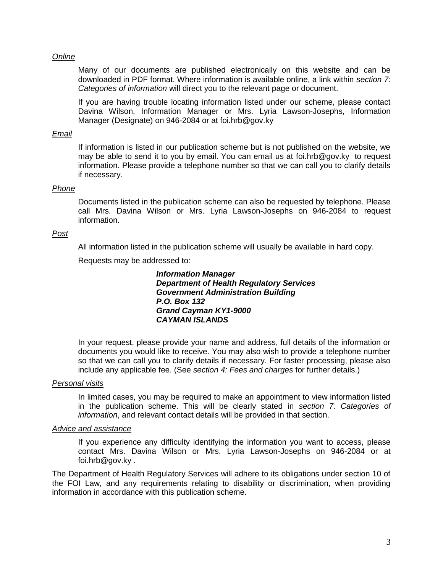#### *Online*

Many of our documents are published electronically on this website and can be downloaded in PDF format. Where information is available online, a link within *section 7: Categories of information* will direct you to the relevant page or document.

If you are having trouble locating information listed under our scheme, please contact Davina Wilson, Information Manager or Mrs. Lyria Lawson-Josephs, Information Manager (Designate) on 946-2084 or at [foi.hrb@gov.ky](mailto:foi.hrb@gov.ky)

#### *Email*

If information is listed in our publication scheme but is not published on the website, we may be able to send it to you by email. You can email us at [foi.hrb@gov.ky](mailto:foi.hrb@gov.ky) to request information. Please provide a telephone number so that we can call you to clarify details if necessary.

## *Phone*

Documents listed in the publication scheme can also be requested by telephone. Please call Mrs. Davina Wilson or Mrs. Lyria Lawson-Josephs on 946-2084 to request information.

#### *Post*

All information listed in the publication scheme will usually be available in hard copy.

Requests may be addressed to:

*Information Manager Department of Health Regulatory Services Government Administration Building P.O. Box 132 Grand Cayman KY1-9000 CAYMAN ISLANDS*

In your request, please provide your name and address, full details of the information or documents you would like to receive. You may also wish to provide a telephone number so that we can call you to clarify details if necessary. For faster processing, please also include any applicable fee. (See *section 4: Fees and charges* for further details.)

#### *Personal visits*

In limited cases, you may be required to make an appointment to view information listed in the publication scheme. This will be clearly stated in *section 7: Categories of information*, and relevant contact details will be provided in that section.

#### *Advice and assistance*

If you experience any difficulty identifying the information you want to access, please contact Mrs. Davina Wilson or Mrs. Lyria Lawson-Josephs on 946-2084 or at [foi.hrb@gov.ky](mailto:foi.hrb@gov.ky) .

The Department of Health Regulatory Services will adhere to its obligations under section 10 of the FOI Law, and any requirements relating to disability or discrimination, when providing information in accordance with this publication scheme.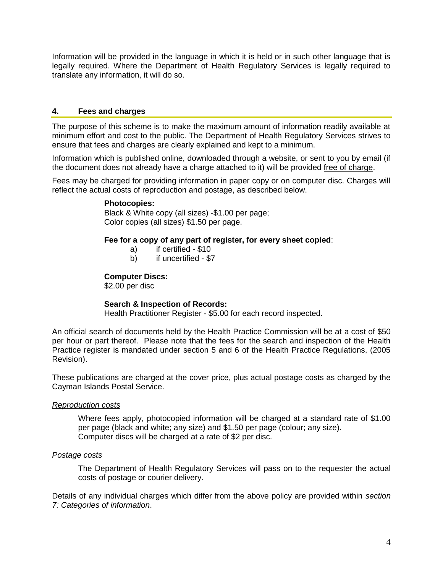Information will be provided in the language in which it is held or in such other language that is legally required. Where the Department of Health Regulatory Services is legally required to translate any information, it will do so.

## **4. Fees and charges**

The purpose of this scheme is to make the maximum amount of information readily available at minimum effort and cost to the public. The Department of Health Regulatory Services strives to ensure that fees and charges are clearly explained and kept to a minimum.

Information which is published online, downloaded through a website, or sent to you by email (if the document does not already have a charge attached to it) will be provided free of charge.

Fees may be charged for providing information in paper copy or on computer disc. Charges will reflect the actual costs of reproduction and postage, as described below.

#### **Photocopies:**

Black & White copy (all sizes) -\$1.00 per page; Color copies (all sizes) \$1.50 per page.

#### **Fee for a copy of any part of register, for every sheet copied**:

- a) if certified \$10
- b) if uncertified \$7

#### **Computer Discs:**

\$2.00 per disc

## **Search & Inspection of Records:**

Health Practitioner Register - \$5.00 for each record inspected.

An official search of documents held by the Health Practice Commission will be at a cost of \$50 per hour or part thereof. Please note that the fees for the search and inspection of the Health Practice register is mandated under section 5 and 6 of the Health Practice Regulations, (2005 Revision).

These publications are charged at the cover price, plus actual postage costs as charged by the Cayman Islands Postal Service.

#### *Reproduction costs*

Where fees apply, photocopied information will be charged at a standard rate of \$1.00 per page (black and white; any size) and \$1.50 per page (colour; any size). Computer discs will be charged at a rate of \$2 per disc.

#### *Postage costs*

The Department of Health Regulatory Services will pass on to the requester the actual costs of postage or courier delivery.

Details of any individual charges which differ from the above policy are provided within *section 7: Categories of information*.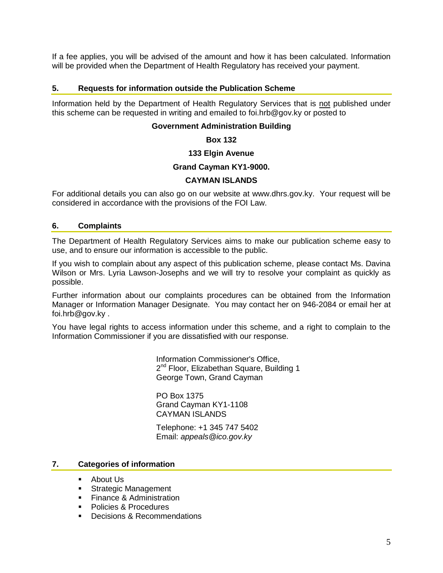If a fee applies, you will be advised of the amount and how it has been calculated. Information will be provided when the Department of Health Regulatory has received your payment.

#### **5. Requests for information outside the Publication Scheme**

Information held by the Department of Health Regulatory Services that is not published under this scheme can be requested in writing and emailed to [foi.hrb@gov.ky](mailto:foi.hrb@gov.ky) or posted to

#### **Government Administration Building**

#### **Box 132**

#### **133 Elgin Avenue**

#### **Grand Cayman KY1-9000.**

#### **CAYMAN ISLANDS**

For additional details you can also go on our website at [www.dhrs.gov.ky.](http://www.dhrs.gov.ky/) Your request will be considered in accordance with the provisions of the FOI Law.

#### **6. Complaints**

The Department of Health Regulatory Services aims to make our publication scheme easy to use, and to ensure our information is accessible to the public.

If you wish to complain about any aspect of this publication scheme, please contact Ms. Davina Wilson or Mrs. Lyria Lawson-Josephs and we will try to resolve your complaint as quickly as possible.

Further information about our complaints procedures can be obtained from the Information Manager or Information Manager Designate. You may contact her on 946-2084 or email her at [foi.hrb@gov.ky](mailto:foi.hrb@gov.ky) .

You have legal rights to access information under this scheme, and a right to complain to the Information Commissioner if you are dissatisfied with our response.

> Information Commissioner's Office, 2<sup>nd</sup> Floor, Elizabethan Square, Building 1 George Town, Grand Cayman

PO Box 1375 Grand Cayman KY1-1108 CAYMAN ISLANDS

Telephone: +1 345 747 5402 Email: *[appeals@ico.gov.ky](mailto:appeals@ico.gov.ky)*

## **7. Categories of information**

- About Us
- **Strategic Management**
- **Finance & Administration**
- Policies & Procedures
- **Decisions & Recommendations**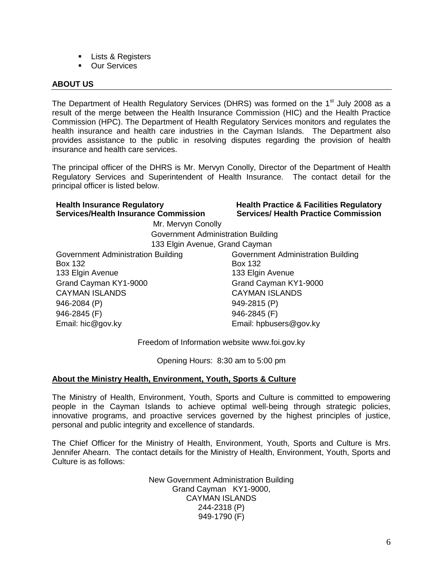- **Lists & Registers**
- **Dur Services**

## **ABOUT US**

The Department of Health Regulatory Services (DHRS) was formed on the 1<sup>st</sup> July 2008 as a result of the merge between the Health Insurance Commission (HIC) and the Health Practice Commission (HPC). The Department of Health Regulatory Services monitors and regulates the health insurance and health care industries in the Cayman Islands. The Department also provides assistance to the public in resolving disputes regarding the provision of health insurance and health care services.

The principal officer of the DHRS is Mr. Mervyn Conolly, Director of the Department of Health Regulatory Services and Superintendent of Health Insurance. The contact detail for the principal officer is listed below.

#### **Health Insurance Regulatory Services/Health Insurance Commission**

**Health Practice & Facilities Regulatory Services/ Health Practice Commission**

 Government Administration Building 133 Elgin Avenue, Grand Cayman

Mr. Mervyn Conolly

Government Administration Building Box 132 133 Elgin Avenue Grand Cayman KY1-9000 Grand Cayman KY1-9000 CAYMAN ISLANDS CAYMAN ISLANDS 946-2084 (P) 946-2081 (P) 946-2845 (F) 946-2845 (F) Email: hic@gov.ky Email: hpbusers@gov.ky

Government Administration Building Box 132 133 Elgin Avenue

Freedom of Information website [www.foi.gov.ky](http://www.foi.gov.ky/)

Opening Hours: 8:30 am to 5:00 pm

## **About the Ministry Health, Environment, Youth, Sports & Culture**

The Ministry of Health, Environment, Youth, Sports and Culture is committed to empowering people in the Cayman Islands to achieve optimal well-being through strategic policies, innovative programs, and proactive services governed by the highest principles of justice, personal and public integrity and excellence of standards.

The Chief Officer for the Ministry of Health, Environment, Youth, Sports and Culture is Mrs. Jennifer Ahearn. The contact details for the Ministry of Health, Environment, Youth, Sports and Culture is as follows:

> New Government Administration Building Grand Cayman KY1-9000, CAYMAN ISLANDS 244-2318 (P) 949-1790 (F)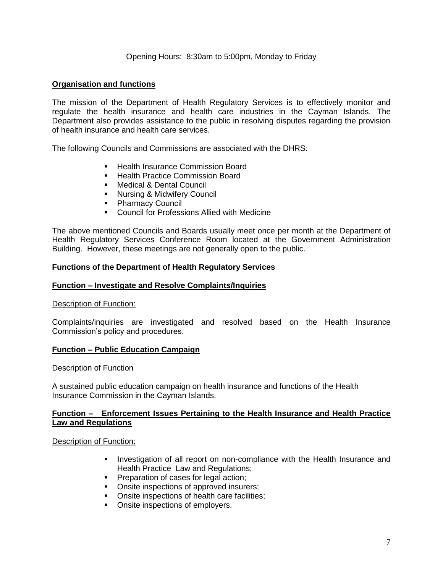#### Opening Hours: 8:30am to 5:00pm, Monday to Friday

#### **Organisation and functions**

The mission of the Department of Health Regulatory Services is to effectively monitor and regulate the health insurance and health care industries in the Cayman Islands. The Department also provides assistance to the public in resolving disputes regarding the provision of health insurance and health care services.

The following Councils and Commissions are associated with the DHRS:

- Health Insurance Commission Board
- **Health Practice Commission Board**
- **Nedical & Dental Council**
- **Nursing & Midwifery Council**
- **Pharmacy Council**
- Council for Professions Allied with Medicine

The above mentioned Councils and Boards usually meet once per month at the Department of Health Regulatory Services Conference Room located at the Government Administration Building. However, these meetings are not generally open to the public.

#### **Functions of the Department of Health Regulatory Services**

#### **Function – Investigate and Resolve Complaints/Inquiries**

#### Description of Function:

Complaints/inquiries are investigated and resolved based on the Health Insurance Commission's policy and procedures.

#### **Function – Public Education Campaign**

#### Description of Function

A sustained public education campaign on health insurance and functions of the Health Insurance Commission in the Cayman Islands.

#### **Function – Enforcement Issues Pertaining to the Health Insurance and Health Practice Law and Regulations**

#### Description of Function:

- **Investigation of all report on non-compliance with the Health Insurance and** Health Practice Law and Regulations;
- **Preparation of cases for legal action;**
- **Onsite inspections of approved insurers:**
- **Onsite inspections of health care facilities;**
- Onsite inspections of employers.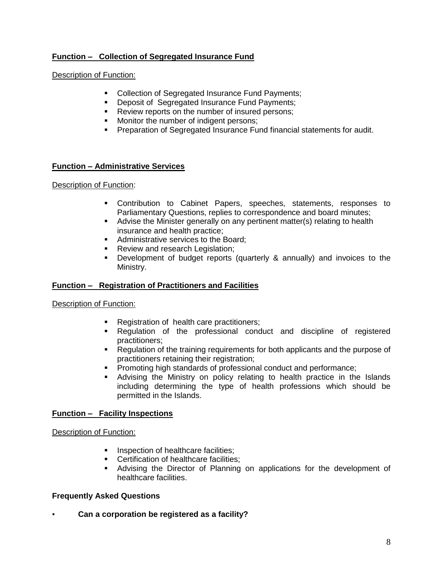## **Function – Collection of Segregated Insurance Fund**

## Description of Function:

- Collection of Segregated Insurance Fund Payments:
- **Deposit of Segregated Insurance Fund Payments;**
- Review reports on the number of insured persons;
- **Monitor the number of indigent persons;**
- **Preparation of Segregated Insurance Fund financial statements for audit.**

## **Function – Administrative Services**

## Description of Function:

- Contribution to Cabinet Papers, speeches, statements, responses to Parliamentary Questions, replies to correspondence and board minutes;
- Advise the Minister generally on any pertinent matter(s) relating to health insurance and health practice;
- Administrative services to the Board:
- **Review and research Legislation;**
- Development of budget reports (quarterly & annually) and invoices to the Ministry.

## **Function – Registration of Practitioners and Facilities**

## Description of Function:

- Registration of health care practitioners;
- Regulation of the professional conduct and discipline of registered practitioners;
- **Requiation of the training requirements for both applicants and the purpose of** practitioners retaining their registration;
- **Promoting high standards of professional conduct and performance;**
- Advising the Ministry on policy relating to health practice in the Islands including determining the type of health professions which should be permitted in the Islands.

## **Function – Facility Inspections**

#### Description of Function:

- **Inspection of healthcare facilities;**
- **Certification of healthcare facilities:**
- Advising the Director of Planning on applications for the development of healthcare facilities.

## **Frequently Asked Questions**

▪ **Can a corporation be registered as a facility?**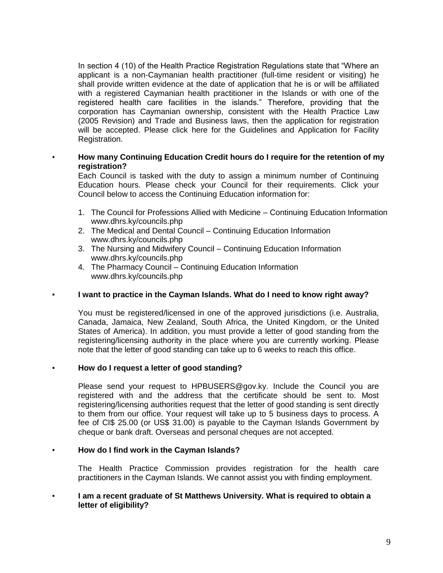In section 4 (10) of the Health Practice Registration Regulations state that "Where an applicant is a non-Caymanian health practitioner (full-time resident or visiting) he shall provide written evidence at the date of application that he is or will be affiliated with a registered Caymanian health practitioner in the Islands or with one of the registered health care facilities in the islands." Therefore, providing that the corporation has Caymanian ownership, consistent with the Health Practice Law (2005 Revision) and Trade and Business laws, then the application for registration will be accepted. Please click here for the Guidelines and Application for Facility Registration.

#### **How many Continuing Education Credit hours do I require for the retention of my registration?**

Each Council is tasked with the duty to assign a minimum number of Continuing Education hours. Please check your Council for their requirements. Click your Council below to access the Continuing Education information for:

- 1. [The Council for Professions Allied with Medicine –](http://www.dhrs.ky/councils.php?id=CPAM) Continuing Education Information [www.dhrs.ky/councils.php](http://www.dhrs.ky/councils.php)
- 2. [The Medical and Dental Council –](http://www.dhrs.ky/councils.php?id=MDC) Continuing Education Information [www.dhrs.ky/councils.php](http://www.dhrs.ky/councils.php)
- 3. [The Nursing and Midwifery Council –](http://www.dhrs.ky/councils.php?id=NMC) Continuing Education Information [www.dhrs.ky/councils.php](http://www.dhrs.ky/councils.php)
- 4. The Pharmacy Council [Continuing Education Information](http://www.dhrs.ky/councils.php?id=PC) [www.dhrs.ky/councils.php](http://www.dhrs.ky/councils.php)

#### ▪ **I want to practice in the Cayman Islands. What do I need to know right away?**

You must be registered/licensed in one of the approved jurisdictions (i.e. Australia, Canada, Jamaica, New Zealand, South Africa, the United Kingdom, or the United States of America). In addition, you must provide a letter of good standing from the registering/licensing authority in the place where you are currently working. Please note that the letter of good standing can take up to 6 weeks to reach this office.

#### ▪ **How do I request a letter of good standing?**

Please send your request to [HPBUSERS@gov.ky.](mailto:HPBUSERS@gov.ky) Include the Council you are registered with and the address that the certificate should be sent to. Most registering/licensing authorities request that the letter of good standing is sent directly to them from our office. Your request will take up to 5 business days to process. A fee of CI\$ 25.00 (or US\$ 31.00) is payable to the Cayman Islands Government by cheque or bank draft. Overseas and personal cheques are not accepted.

#### ▪ **How do I find work in the Cayman Islands?**

The Health Practice Commission provides registration for the health care practitioners in the Cayman Islands. We cannot assist you with finding employment.

#### ▪ **I am a recent graduate of St Matthews University. What is required to obtain a letter of eligibility?**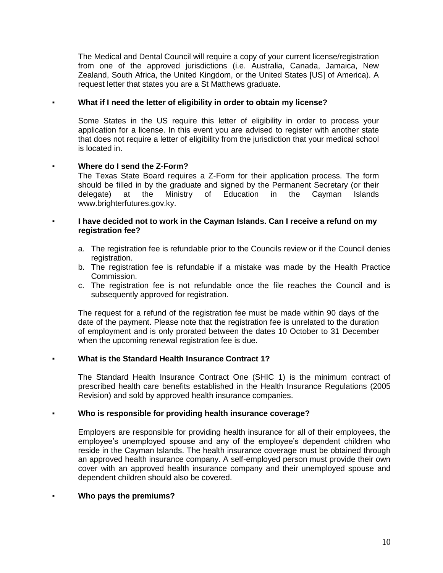The Medical and Dental Council will require a copy of your current license/registration from one of the approved jurisdictions (i.e. Australia, Canada, Jamaica, New Zealand, South Africa, the United Kingdom, or the United States [US] of America). A request letter that states you are a St Matthews graduate.

#### ▪ **What if I need the letter of eligibility in order to obtain my license?**

Some States in the US require this letter of eligibility in order to process your application for a license. In this event you are advised to register with another state that does not require a letter of eligibility from the jurisdiction that your medical school is located in.

## **Where do I send the Z-Form?**

The Texas State Board requires a Z-Form for their application process. The form should be filled in by the graduate and signed by the Permanent Secretary (or their delegate) at the Ministry of Education in the Cayman Islands www.brighterfutures.gov.ky.

#### ▪ **I have decided not to work in the Cayman Islands. Can I receive a refund on my registration fee?**

- a. The registration fee is refundable prior to the Councils review or if the Council denies registration.
- b. The registration fee is refundable if a mistake was made by the Health Practice Commission.
- c. The registration fee is not refundable once the file reaches the Council and is subsequently approved for registration.

The request for a refund of the registration fee must be made within 90 days of the date of the payment. Please note that the registration fee is unrelated to the duration of employment and is only prorated between the dates 10 October to 31 December when the upcoming renewal registration fee is due.

## **What is the Standard Health Insurance Contract 1?**

The Standard Health Insurance Contract One (SHIC 1) is the minimum contract of prescribed health care benefits established in the Health Insurance Regulations (2005 Revision) and sold by approved health insurance companies.

## ▪ **Who is responsible for providing health insurance coverage?**

Employers are responsible for providing health insurance for all of their employees, the employee's unemployed spouse and any of the employee's dependent children who reside in the Cayman Islands. The health insurance coverage must be obtained through an approved health insurance company. A self-employed person must provide their own cover with an approved health insurance company and their unemployed spouse and dependent children should also be covered.

#### ▪ **Who pays the premiums?**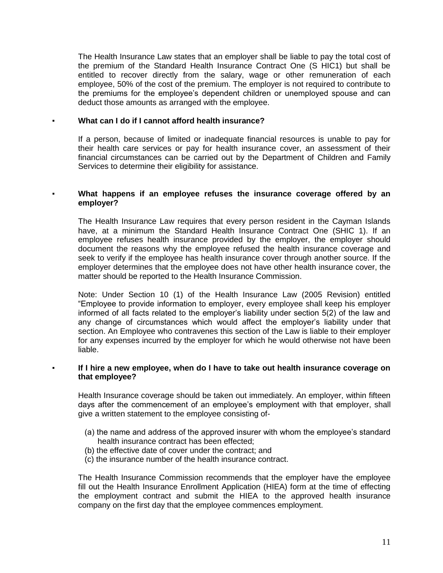The Health Insurance Law states that an employer shall be liable to pay the total cost of the premium of the Standard Health Insurance Contract One (S HIC1) but shall be entitled to recover directly from the salary, wage or other remuneration of each employee, 50% of the cost of the premium. The employer is not required to contribute to the premiums for the employee's dependent children or unemployed spouse and can deduct those amounts as arranged with the employee.

#### ▪ **What can I do if I cannot afford health insurance?**

If a person, because of limited or inadequate financial resources is unable to pay for their health care services or pay for health insurance cover, an assessment of their financial circumstances can be carried out by the Department of Children and Family Services to determine their eligibility for assistance.

#### What happens if an employee refuses the insurance coverage offered by an **employer?**

The Health Insurance Law requires that every person resident in the Cayman Islands have, at a minimum the Standard Health Insurance Contract One (SHIC 1). If an employee refuses health insurance provided by the employer, the employer should document the reasons why the employee refused the health insurance coverage and seek to verify if the employee has health insurance cover through another source. If the employer determines that the employee does not have other health insurance cover, the matter should be reported to the Health Insurance Commission.

Note: Under Section 10 (1) of the Health Insurance Law (2005 Revision) entitled "Employee to provide information to employer, every employee shall keep his employer informed of all facts related to the employer's liability under section 5(2) of the law and any change of circumstances which would affect the employer's liability under that section. An Employee who contravenes this section of the Law is liable to their employer for any expenses incurred by the employer for which he would otherwise not have been liable.

#### ▪ **If I hire a new employee, when do I have to take out health insurance coverage on that employee?**

Health Insurance coverage should be taken out immediately. An employer, within fifteen days after the commencement of an employee's employment with that employer, shall give a written statement to the employee consisting of-

- (a) the name and address of the approved insurer with whom the employee's standard health insurance contract has been effected;
- (b) the effective date of cover under the contract; and
- (c) the insurance number of the health insurance contract.

The Health Insurance Commission recommends that the employer have the employee fill out the Health Insurance Enrollment Application (HIEA) form at the time of effecting the employment contract and submit the HIEA to the approved health insurance company on the first day that the employee commences employment.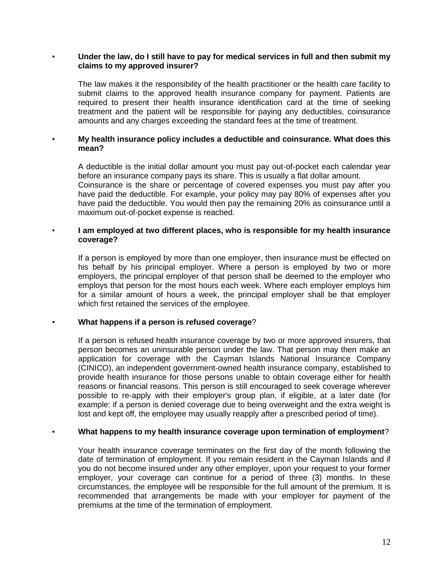#### Under the law, do I still have to pay for medical services in full and then submit my **claims to my approved insurer?**

The law makes it the responsibility of the health practitioner or the health care facility to submit claims to the approved health insurance company for payment. Patients are required to present their health insurance identification card at the time of seeking treatment and the patient will be responsible for paying any deductibles, coinsurance amounts and any charges exceeding the standard fees at the time of treatment.

## ▪ **My health insurance policy includes a deductible and coinsurance. What does this mean?**

A deductible is the initial dollar amount you must pay out-of-pocket each calendar year before an insurance company pays its share. This is usually a flat dollar amount.

Coinsurance is the share or percentage of covered expenses you must pay after you have paid the deductible. For example, your policy may pay 80% of expenses after you have paid the deductible. You would then pay the remaining 20% as coinsurance until a maximum out-of-pocket expense is reached.

#### ▪ **I am employed at two different places, who is responsible for my health insurance coverage?**

If a person is employed by more than one employer, then insurance must be effected on his behalf by his principal employer. Where a person is employed by two or more employers, the principal employer of that person shall be deemed to the employer who employs that person for the most hours each week. Where each employer employs him for a similar amount of hours a week, the principal employer shall be that employer which first retained the services of the employee.

## **What happens if a person is refused coverage?**

If a person is refused health insurance coverage by two or more approved insurers, that person becomes an uninsurable person under the law. That person may then make an application for coverage with the Cayman Islands National Insurance Company (CINICO), an independent government-owned health insurance company, established to provide health insurance for those persons unable to obtain coverage either for health reasons or financial reasons. This person is still encouraged to seek coverage wherever possible to re-apply with their employer's group plan, if eligible, at a later date (for example: if a person is denied coverage due to being overweight and the extra weight is lost and kept off, the employee may usually reapply after a prescribed period of time).

#### ▪ **What happens to my health insurance coverage upon termination of employment**?

Your health insurance coverage terminates on the first day of the month following the date of termination of employment. If you remain resident in the Cayman Islands and if you do not become insured under any other employer, upon your request to your former employer, your coverage can continue for a period of three (3) months. In these circumstances, the employee will be responsible for the full amount of the premium. It is recommended that arrangements be made with your employer for payment of the premiums at the time of the termination of employment.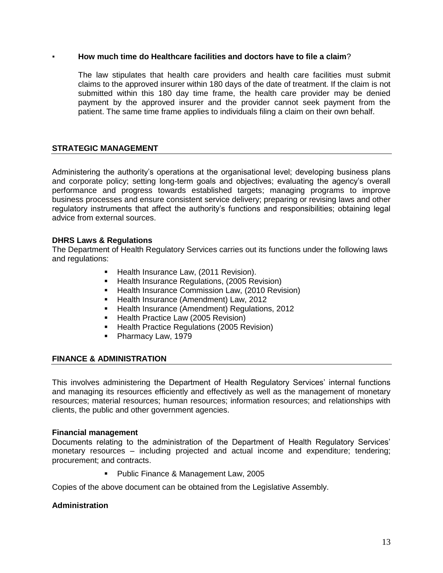#### ▪ **How much time do Healthcare facilities and doctors have to file a claim**?

The law stipulates that health care providers and health care facilities must submit claims to the approved insurer within 180 days of the date of treatment. If the claim is not submitted within this 180 day time frame, the health care provider may be denied payment by the approved insurer and the provider cannot seek payment from the patient. The same time frame applies to individuals filing a claim on their own behalf.

## **STRATEGIC MANAGEMENT**

Administering the authority's operations at the organisational level; developing business plans and corporate policy; setting long-term goals and objectives; evaluating the agency's overall performance and progress towards established targets; managing programs to improve business processes and ensure consistent service delivery; preparing or revising laws and other regulatory instruments that affect the authority's functions and responsibilities; obtaining legal advice from external sources.

#### **DHRS Laws & Regulations**

The Department of Health Regulatory Services carries out its functions under the following laws and regulations:

- **Health Insurance Law, (2011 Revision).**
- **Health Insurance Regulations, (2005 Revision)**
- **E** Health Insurance Commission Law, (2010 Revision)
- Health Insurance (Amendment) Law, 2012
- **Health Insurance (Amendment) Regulations, 2012**
- **Health Practice Law (2005 Revision)**
- **Health Practice Regulations (2005 Revision)**
- Pharmacy Law, 1979

#### **FINANCE & ADMINISTRATION**

This involves administering the Department of Health Regulatory Services' internal functions and managing its resources efficiently and effectively as well as the management of monetary resources; material resources; human resources; information resources; and relationships with clients, the public and other government agencies.

#### **Financial management**

Documents relating to the administration of the Department of Health Regulatory Services' monetary resources – including projected and actual income and expenditure; tendering; procurement; and contracts.

**Public Finance & Management Law, 2005** 

Copies of the above document can be obtained from the Legislative Assembly.

#### **Administration**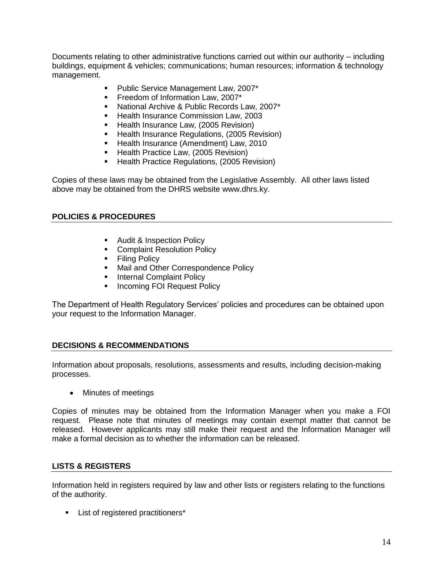Documents relating to other administrative functions carried out within our authority – including buildings, equipment & vehicles; communications; human resources; information & technology management.

- **Public Service Management Law, 2007\***
- **Freedom of Information Law, 2007\***
- **National Archive & Public Records Law, 2007\***
- **Health Insurance Commission Law, 2003**
- **Health Insurance Law, (2005 Revision)**
- **Health Insurance Regulations, (2005 Revision)**
- **Health Insurance (Amendment) Law, 2010**
- Health Practice Law, (2005 Revision)
- **Health Practice Regulations, (2005 Revision)**

Copies of these laws may be obtained from the Legislative Assembly. All other laws listed above may be obtained from the DHRS website [www.dhrs.ky.](http://www.dhrs.ky/)

## **POLICIES & PROCEDURES**

- Audit & Inspection Policy
- **Complaint Resolution Policy**
- **Filing Policy**
- **Mail and Other Correspondence Policy**
- **Internal Complaint Policy**
- **Incoming FOI Request Policy**

The Department of Health Regulatory Services' policies and procedures can be obtained upon your request to the Information Manager.

## **DECISIONS & RECOMMENDATIONS**

Information about proposals, resolutions, assessments and results, including decision-making processes.

• Minutes of meetings

Copies of minutes may be obtained from the Information Manager when you make a FOI request. Please note that minutes of meetings may contain exempt matter that cannot be released. However applicants may still make their request and the Information Manager will make a formal decision as to whether the information can be released.

## **LISTS & REGISTERS**

Information held in registers required by law and other lists or registers relating to the functions of the authority.

**List of registered practitioners\***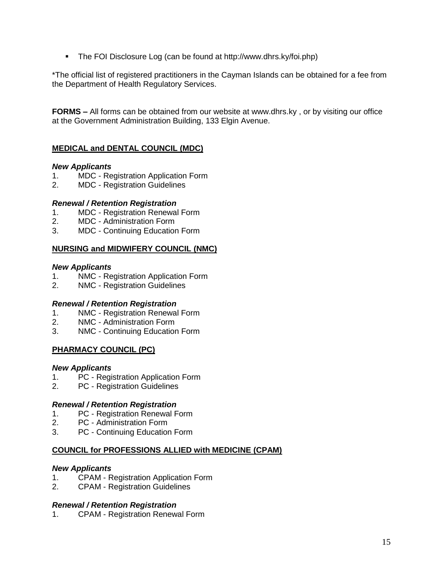• The FOI Disclosure Log (can be found at http://www.dhrs.ky/foi.php)

\*The official list of registered practitioners in the Cayman Islands can be obtained for a fee from the Department of Health Regulatory Services.

**FORMS –** All forms can be obtained from our website at [www.dhrs.ky](http://www.dhrs.ky/) , or by visiting our office at the Government Administration Building, 133 Elgin Avenue.

## **MEDICAL and DENTAL COUNCIL (MDC)**

## *New Applicants*

- 1. MDC [Registration Application Form](http://www.dhrs.ky/docs/MDC%20-%20Registration%20Application.doc)
- 2. MDC [Registration Guidelines](http://www.dhrs.ky/docs/MDC%20-%20Registration%20Guidelines.doc)

## *Renewal / Retention Registration*

- 1. MDC [Registration Renewal Form](http://www.dhrs.ky/docs/MDC%20-%20Registration%20Renewal.doc)
- 2. MDC [Administration Form](http://www.dhrs.ky/docs/MDC%20-%20Admin%20Form.doc)
- 3. MDC [Continuing Education Form](http://www.dhrs.ky/docs/MDC%20-%20Continuing%20Education%20Record.doc)

## **NURSING and MIDWIFERY COUNCIL (NMC)**

## *New Applicants*

- 1. NMC [Registration Application Form](http://www.dhrs.ky/docs/NMC%20-%20Registration%20Application.doc)
- 2. NMC [Registration Guidelines](http://www.dhrs.ky/docs/NMC%20-%20Registration%20Guidelines.doc)

## *Renewal / Retention Registration*

- 1. NMC [Registration Renewal Form](http://www.dhrs.ky/docs/NMC%20-%20Registration%20Renewal.doc)
- 2. NMC [Administration Form](http://www.dhrs.ky/docs/NMC%20-%20Admin%20Form.doc)
- 3. NMC [Continuing Education Form](http://www.dhrs.ky/docs/Nursing%20&%20Midwifery%20Council%20-%20Continuing%20Nursing%20Education%20Summary%20Form.pdf)

## **PHARMACY COUNCIL (PC)**

## *New Applicants*

- 1. PC [Registration Application Form](http://www.dhrs.ky/docs/PC%20-%20Registration%20Application.doc)
- 2. PC [Registration Guidelines](http://www.dhrs.ky/docs/PC%20-%20Registration%20Guidelines.doc)

## *Renewal / Retention Registration*

- 1. PC [Registration Renewal Form](http://www.dhrs.ky/docs/PC%20-%20Registration%20Renewal.doc)
- 2. PC [Administration Form](http://www.dhrs.ky/docs/PC%20-%20Admin%20Form.doc)
- 3. PC [Continuing Education Form](http://www.dhrs.ky/docs/PC%20-%20Continuing%20Education%20Record.doc)

## **COUNCIL for PROFESSIONS ALLIED with MEDICINE (CPAM)**

## *New Applicants*

- 1. CPAM [Registration Application Form](http://www.dhrs.ky/docs/CPAM%20-%20Registration%20Application.doc)
- 2. CPAM [Registration Guidelines](http://www.dhrs.ky/docs/CPAM%20-%20Registration%20Guidelines.doc)

## *Renewal / Retention Registration*

1. CPAM - [Registration Renewal Form](http://www.dhrs.ky/docs/CPAM%20-%20Registration%20Renewal.doc)